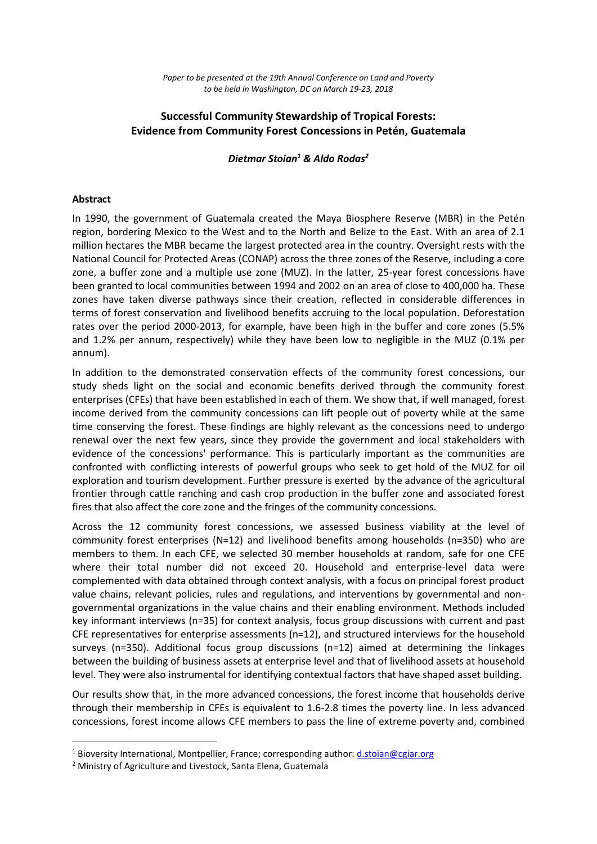## **Successful Community Stewardship of Tropical Forests: Evidence from Community Forest Concessions in Petén, Guatemala**

*Dietmar Stoian<sup>1</sup> & Aldo Rodas<sup>2</sup>*

## **Abstract**

<u>.</u>

In 1990, the government of Guatemala created the Maya Biosphere Reserve (MBR) in the Petén region, bordering Mexico to the West and to the North and Belize to the East. With an area of 2.1 million hectares the MBR became the largest protected area in the country. Oversight rests with the National Council for Protected Areas (CONAP) across the three zones of the Reserve, including a core zone, a buffer zone and a multiple use zone (MUZ). In the latter, 25-year forest concessions have been granted to local communities between 1994 and 2002 on an area of close to 400,000 ha. These zones have taken diverse pathways since their creation, reflected in considerable differences in terms of forest conservation and livelihood benefits accruing to the local population. Deforestation rates over the period 2000-2013, for example, have been high in the buffer and core zones (5.5% and 1.2% per annum, respectively) while they have been low to negligible in the MUZ (0.1% per annum).

In addition to the demonstrated conservation effects of the community forest concessions, our study sheds light on the social and economic benefits derived through the community forest enterprises (CFEs) that have been established in each of them. We show that, if well managed, forest income derived from the community concessions can lift people out of poverty while at the same time conserving the forest. These findings are highly relevant as the concessions need to undergo renewal over the next few years, since they provide the government and local stakeholders with evidence of the concessions' performance. This is particularly important as the communities are confronted with conflicting interests of powerful groups who seek to get hold of the MUZ for oil exploration and tourism development. Further pressure is exerted by the advance of the agricultural frontier through cattle ranching and cash crop production in the buffer zone and associated forest fires that also affect the core zone and the fringes of the community concessions.

Across the 12 community forest concessions, we assessed business viability at the level of community forest enterprises (N=12) and livelihood benefits among households (n=350) who are members to them. In each CFE, we selected 30 member households at random, safe for one CFE where their total number did not exceed 20. Household and enterprise-level data were complemented with data obtained through context analysis, with a focus on principal forest product value chains, relevant policies, rules and regulations, and interventions by governmental and nongovernmental organizations in the value chains and their enabling environment. Methods included key informant interviews (n=35) for context analysis, focus group discussions with current and past CFE representatives for enterprise assessments (n=12), and structured interviews for the household surveys (n=350). Additional focus group discussions (n=12) aimed at determining the linkages between the building of business assets at enterprise level and that of livelihood assets at household level. They were also instrumental for identifying contextual factors that have shaped asset building.

Our results show that, in the more advanced concessions, the forest income that households derive through their membership in CFEs is equivalent to 1.6-2.8 times the poverty line. In less advanced concessions, forest income allows CFE members to pass the line of extreme poverty and, combined

<sup>&</sup>lt;sup>1</sup> Bioversity International, Montpellier, France; corresponding author: [d.stoian@cgiar.org](mailto:d.stoian@cgiar.org)

<sup>2</sup> Ministry of Agriculture and Livestock, Santa Elena, Guatemala